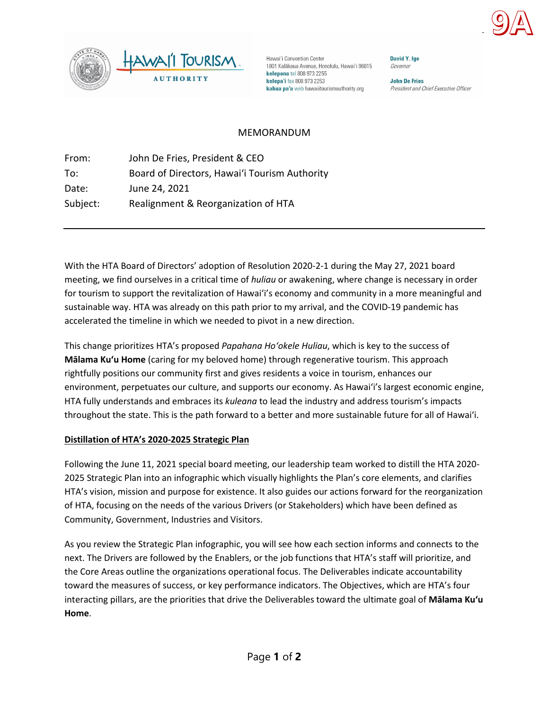



Hawai'i Convention Center 1801 Kalākaua Avenue, Honolulu, Hawai'i 96815 kelepona tel 808 973 2255 kelepa'i fax 808 973 2253 kahua pa'a web hawaiitourismauthority.org

David Y. Ige Governor

**John De Fries** President and Chief Executive Officer

## MEMORANDUM

From: John De Fries, President & CEO To: Board of Directors, Hawaiʻi Tourism Authority Date: June 24, 2021 Subject: Realignment & Reorganization of HTA

With the HTA Board of Directors' adoption of Resolution 2020-2-1 during the May 27, 2021 board meeting, we find ourselves in a critical time of *huliau* or awakening, where change is necessary in order for tourism to support the revitalization of Hawai'i's economy and community in a more meaningful and sustainable way. HTA was already on this path prior to my arrival, and the COVID-19 pandemic has accelerated the timeline in which we needed to pivot in a new direction.

This change prioritizes HTA's proposed *Papahana Ho'okele Huliau*, which is key to the success of **Mālama Ku'u Home** (caring for my beloved home) through regenerative tourism. This approach rightfully positions our community first and gives residents a voice in tourism, enhances our environment, perpetuates our culture, and supports our economy. As Hawai'i's largest economic engine, HTA fully understands and embraces its *kuleana* to lead the industry and address tourism's impacts throughout the state. This is the path forward to a better and more sustainable future for all of Hawai'i.

## **Distillation of HTA's 2020-2025 Strategic Plan**

Following the June 11, 2021 special board meeting, our leadership team worked to distill the HTA 2020- 2025 Strategic Plan into an infographic which visually highlights the Plan's core elements, and clarifies HTA's vision, mission and purpose for existence. It also guides our actions forward for the reorganization of HTA, focusing on the needs of the various Drivers (or Stakeholders) which have been defined as Community, Government, Industries and Visitors.

As you review the Strategic Plan infographic, you will see how each section informs and connects to the next. The Drivers are followed by the Enablers, or the job functions that HTA's staff will prioritize, and the Core Areas outline the organizations operational focus. The Deliverables indicate accountability toward the measures of success, or key performance indicators. The Objectives, which are HTA's four interacting pillars, are the priorities that drive the Deliverables toward the ultimate goal of **Mālama Ku'u Home**.